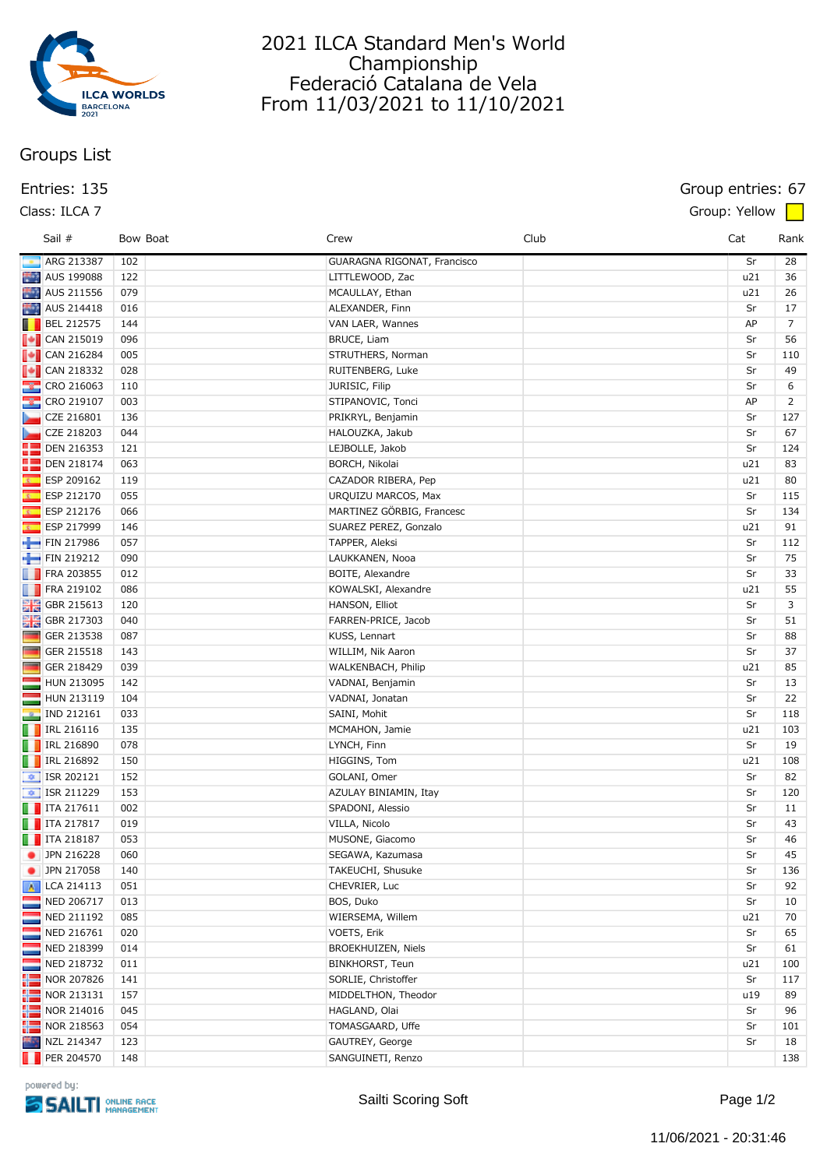

# **Groups List**

### **Class: ILCA 7 Group: Yellow**

# 2021 ILCA Standard Men's World Championship Federació Catalana de Vela From 11/03/2021 to 11/10/2021

## **Entries: 135 Group entries: 67**

|              | Sail #                          |     | Bow Boat | Crew                        | Club | Cat | Rank           |
|--------------|---------------------------------|-----|----------|-----------------------------|------|-----|----------------|
|              | ARG 213387                      | 102 |          | GUARAGNA RIGONAT, Francisco |      | Sr  | 28             |
|              | AUS 199088                      | 122 |          | LITTLEWOOD, Zac             |      | u21 | 36             |
|              | AUS 211556                      | 079 |          | MCAULLAY, Ethan             |      | u21 | 26             |
|              | AUS 214418                      | 016 |          | ALEXANDER, Finn             |      | Sr  | 17             |
|              | $\blacksquare$ BEL 212575       | 144 |          | VAN LAER, Wannes            |      | AP  | $\overline{7}$ |
|              | $\sqrt{\phantom{a}}$ CAN 215019 | 096 |          | <b>BRUCE, Liam</b>          |      | Sr  | 56             |
|              | $\blacksquare$ CAN 216284       | 005 |          | STRUTHERS, Norman           |      | Sr  | 110            |
|              |                                 | 028 |          | RUITENBERG, Luke            |      | Sr  | 49             |
|              | <b>&amp;</b> CRO 216063         | 110 |          | JURISIC, Filip              |      | Sr  | 6              |
|              | <b>&amp;</b> CRO 219107         | 003 |          | STIPANOVIC, Tonci           |      | AP  | 2              |
|              | CZE 216801                      | 136 |          | PRIKRYL, Benjamin           |      | Sr  | 127            |
|              | CZE 218203                      | 044 |          | HALOUZKA, Jakub             |      | Sr  | 67             |
|              | <b>DEN 216353</b>               | 121 |          | LEJBOLLE, Jakob             |      | Sr  | 124            |
|              | <b>DEN 218174</b>               | 063 |          | BORCH, Nikolai              |      | u21 | 83             |
|              | ESP 209162                      | 119 |          | CAZADOR RIBERA, Pep         |      | u21 | 80             |
|              | <b>ESP 212170</b>               | 055 |          | URQUIZU MARCOS, Max         |      | Sr  | 115            |
| <b>K</b>     | ESP 212176                      | 066 |          | MARTINEZ GÖRBIG, Francesc   |      | Sr  | 134            |
| <b>KM</b>    | ESP 217999                      | 146 |          | SUAREZ PEREZ, Gonzalo       |      | u21 | 91             |
|              | FIN 217986                      | 057 |          | TAPPER, Aleksi              |      | Sr  | 112            |
|              | FIN 219212                      | 090 |          | LAUKKANEN, Nooa             |      | Sr  | 75             |
|              | <b>FRA 203855</b>               | 012 |          | BOITE, Alexandre            |      | Sr  | 33             |
|              | $\Box$ FRA 219102               | 086 |          | KOWALSKI, Alexandre         |      | u21 | 55             |
|              | <b>H</b> GBR 215613             | 120 |          | HANSON, Elliot              |      | Sr  | 3              |
|              | <b>DE GBR 217303</b>            | 040 |          | FARREN-PRICE, Jacob         |      | Sr  | 51             |
| <b>COLOR</b> | GER 213538                      | 087 |          | KUSS, Lennart               |      | Sr  | 88             |
|              | GER 215518                      | 143 |          | WILLIM, Nik Aaron           |      | Sr  | 37             |
|              | GER 218429                      | 039 |          | WALKENBACH, Philip          |      | u21 | 85             |
| F            | HUN 213095                      | 142 |          | VADNAI, Benjamin            |      | Sr  | 13             |
| Ξ            | HUN 213119                      | 104 |          | VADNAI, Jonatan             |      | Sr  | 22             |
|              | <b>P</b> IND 212161             | 033 |          | SAINI, Mohit                |      | Sr  | 118            |
|              | $\blacksquare$ IRL 216116       | 135 |          | MCMAHON, Jamie              |      | u21 | 103            |
|              | $\Box$ IRL 216890               | 078 |          | LYNCH, Finn                 |      | Sr  | 19             |
|              | <b>D</b> IRL 216892             | 150 |          | HIGGINS, Tom                |      | u21 | 108            |
|              | $\left  \right $ ISR 202121     | 152 |          | GOLANI, Omer                |      | Sr  | 82             |
|              | $\frac{1}{2}$ ISR 211229        | 153 |          | AZULAY BINIAMIN, Itay       |      | Sr  | 120            |
|              | $\Box$ ITA 217611               | 002 |          | SPADONI, Alessio            |      | Sr  | 11             |
|              | $\Box$ ITA 217817               | 019 |          | VILLA, Nicolo               |      | Sr  | 43             |
|              | $\Box$ ITA 218187               | 053 |          | MUSONE, Giacomo             |      | Sr  | 46             |
|              | DPN 216228                      | 060 |          | SEGAWA, Kazumasa            |      | Sr  | 45             |
|              | <b>D</b> JPN 217058             | 140 |          | TAKEUCHI, Shusuke           |      | Sr  | 136            |
|              | A LCA 214113                    | 051 |          | CHEVRIER, Luc               |      | Sr  | 92             |
|              | NED 206717                      | 013 |          | BOS, Duko                   |      | Sr  | 10             |
| $\sim$       | NED 211192                      | 085 |          | WIERSEMA, Willem            |      | u21 | 70             |
| Ξ            | NED 216761                      | 020 |          | VOETS, Erik                 |      | Sr  | 65             |
| I            | NED 218399                      | 014 |          | BROEKHUIZEN, Niels          |      | Sr  | 61             |
| F            | NED 218732                      | 011 |          | <b>BINKHORST, Teun</b>      |      | u21 | 100            |
|              | NOR 207826                      | 141 |          | SORLIE, Christoffer         |      | Sr  | 117            |
|              | $NOR$ 213131                    | 157 |          | MIDDELTHON, Theodor         |      | u19 | 89             |
|              | NOR 214016                      | 045 |          | HAGLAND, Olai               |      | Sr  | 96             |
|              | $NOR$ 218563                    | 054 |          | TOMASGAARD, Uffe            |      | Sr  | 101            |
|              | NZL 214347                      | 123 |          | GAUTREY, George             |      | Sr  | 18             |
|              | $\blacksquare$ PER 204570       | 148 |          | SANGUINETI, Renzo           |      |     | 138            |